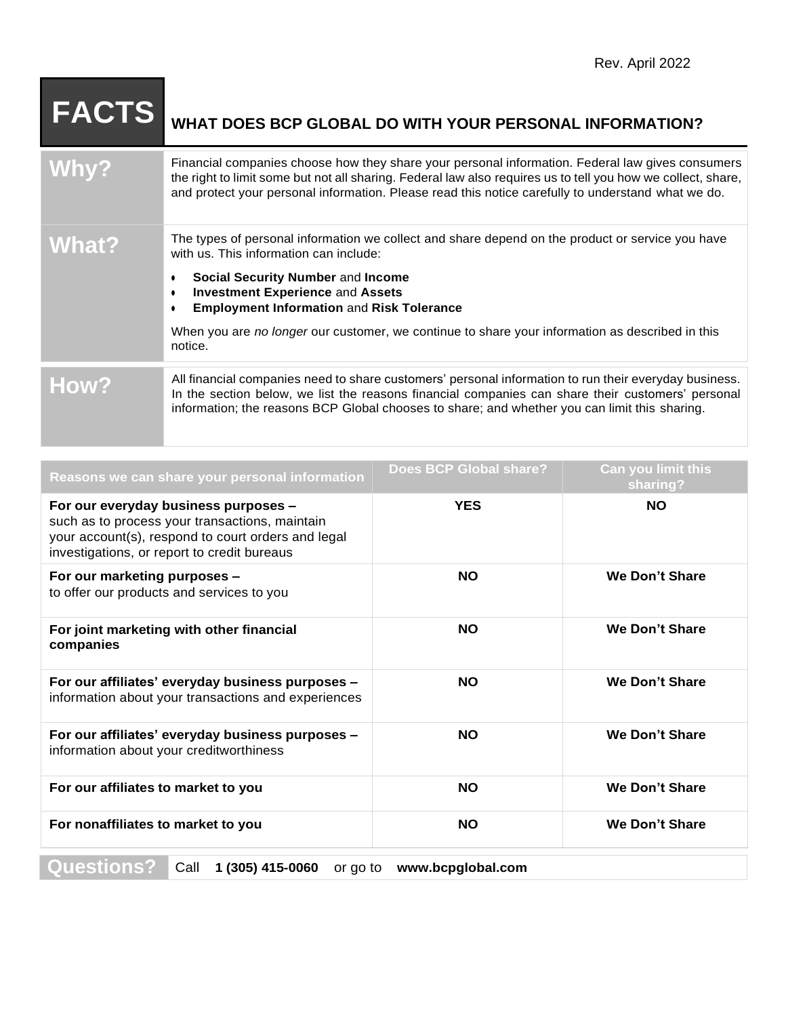| <b>FACTS</b> | WHAT DOES BCP GLOBAL DO WITH YOUR PERSONAL INFORMATION?                                                                                                                                                                                                                                                                |
|--------------|------------------------------------------------------------------------------------------------------------------------------------------------------------------------------------------------------------------------------------------------------------------------------------------------------------------------|
| Why?         | Financial companies choose how they share your personal information. Federal law gives consumers<br>the right to limit some but not all sharing. Federal law also requires us to tell you how we collect, share,<br>and protect your personal information. Please read this notice carefully to understand what we do. |
| What?        | The types of personal information we collect and share depend on the product or service you have<br>with us. This information can include:                                                                                                                                                                             |
|              | Social Security Number and Income<br><b>Investment Experience and Assets</b><br><b>Employment Information and Risk Tolerance</b>                                                                                                                                                                                       |
|              | When you are no longer our customer, we continue to share your information as described in this<br>notice.                                                                                                                                                                                                             |
| How?         | All financial companies need to share customers' personal information to run their everyday business.<br>In the section below, we list the reasons financial companies can share their customers' personal<br>information; the reasons BCP Global chooses to share; and whether you can limit this sharing.            |

| Reasons we can share your personal information                                                                                                                                                                                                                                                                                                                                    | Does BCP Global share? | Can you limit this<br>sharing? |
|-----------------------------------------------------------------------------------------------------------------------------------------------------------------------------------------------------------------------------------------------------------------------------------------------------------------------------------------------------------------------------------|------------------------|--------------------------------|
| For our everyday business purposes -<br>such as to process your transactions, maintain<br>your account(s), respond to court orders and legal<br>investigations, or report to credit bureaus                                                                                                                                                                                       | <b>YES</b>             | <b>NO</b>                      |
| For our marketing purposes -<br>to offer our products and services to you                                                                                                                                                                                                                                                                                                         | <b>NO</b>              | We Don't Share                 |
| For joint marketing with other financial<br>companies                                                                                                                                                                                                                                                                                                                             | <b>NO</b>              | We Don't Share                 |
| For our affiliates' everyday business purposes -<br>information about your transactions and experiences                                                                                                                                                                                                                                                                           | <b>NO</b>              | <b>We Don't Share</b>          |
| For our affiliates' everyday business purposes -<br>information about your creditworthiness                                                                                                                                                                                                                                                                                       | <b>NO</b>              | <b>We Don't Share</b>          |
| For our affiliates to market to you                                                                                                                                                                                                                                                                                                                                               | <b>NO</b>              | We Don't Share                 |
| For nonaffiliates to market to you                                                                                                                                                                                                                                                                                                                                                | <b>NO</b>              | <b>We Don't Share</b>          |
| $\bigcap$ $\bigcap$ $\bigcap$ $\bigcap$ $\bigcap$ $\bigcap$ $\bigcap$ $\bigcap$ $\bigcap$ $\bigcap$ $\bigcap$ $\bigcap$ $\bigcap$ $\bigcap$ $\bigcap$ $\bigcap$ $\bigcap$ $\bigcap$ $\bigcap$ $\bigcap$ $\bigcap$ $\bigcap$ $\bigcap$ $\bigcap$ $\bigcap$ $\bigcap$ $\bigcap$ $\bigcap$ $\bigcap$ $\bigcap$ $\bigcap$ $\bigcap$ $\bigcap$ $\bigcap$ $\bigcap$ $\bigcap$ $\bigcap$ |                        |                                |

**Questions?** Call **1 (305) 415-0060** or go to **[www.bcpglobal.com](http://www.bcpglobal.com/)**